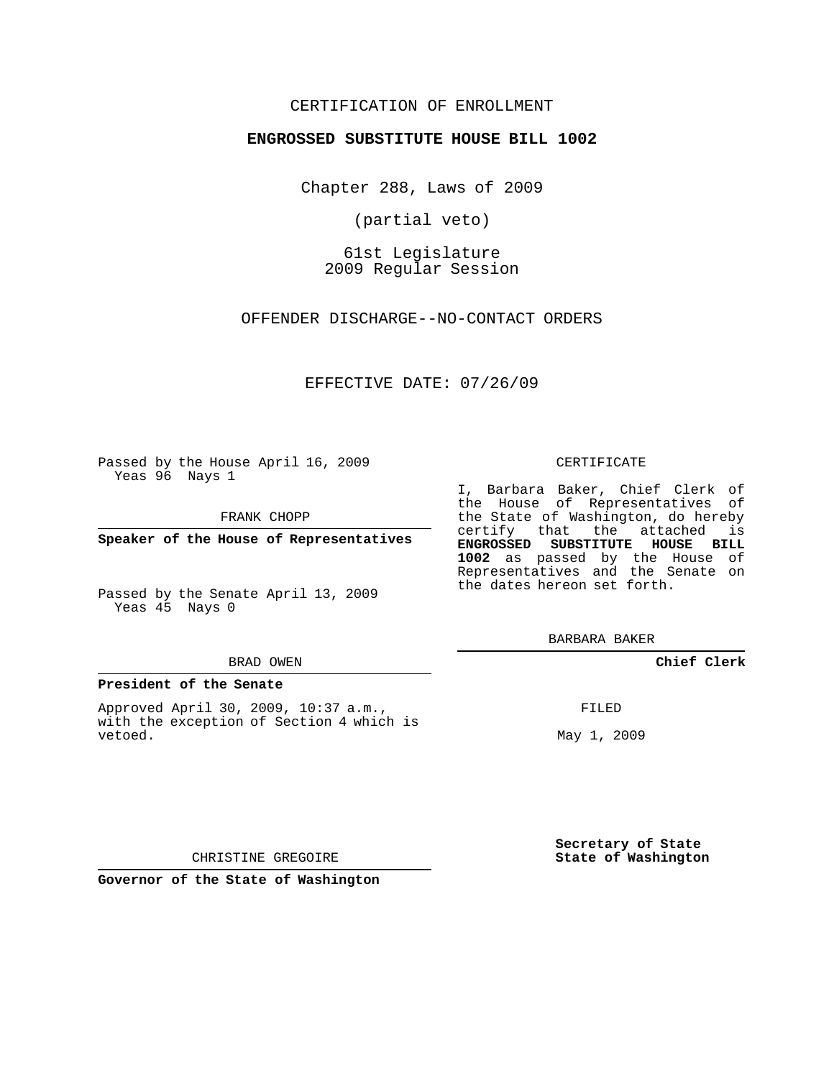## CERTIFICATION OF ENROLLMENT

### **ENGROSSED SUBSTITUTE HOUSE BILL 1002**

Chapter 288, Laws of 2009

(partial veto)

61st Legislature 2009 Regular Session

OFFENDER DISCHARGE--NO-CONTACT ORDERS

EFFECTIVE DATE: 07/26/09

Passed by the House April 16, 2009 Yeas 96 Nays 1

FRANK CHOPP

**Speaker of the House of Representatives**

Passed by the Senate April 13, 2009 Yeas 45 Nays 0

#### BRAD OWEN

#### **President of the Senate**

Approved April 30, 2009, 10:37 a.m., with the exception of Section 4 which is vetoed.

#### CERTIFICATE

I, Barbara Baker, Chief Clerk of the House of Representatives of the State of Washington, do hereby certify that the attached is **ENGROSSED SUBSTITUTE HOUSE BILL 1002** as passed by the House of Representatives and the Senate on the dates hereon set forth.

BARBARA BAKER

## **Chief Clerk**

FILED

May 1, 2009

**Secretary of State State of Washington**

CHRISTINE GREGOIRE

**Governor of the State of Washington**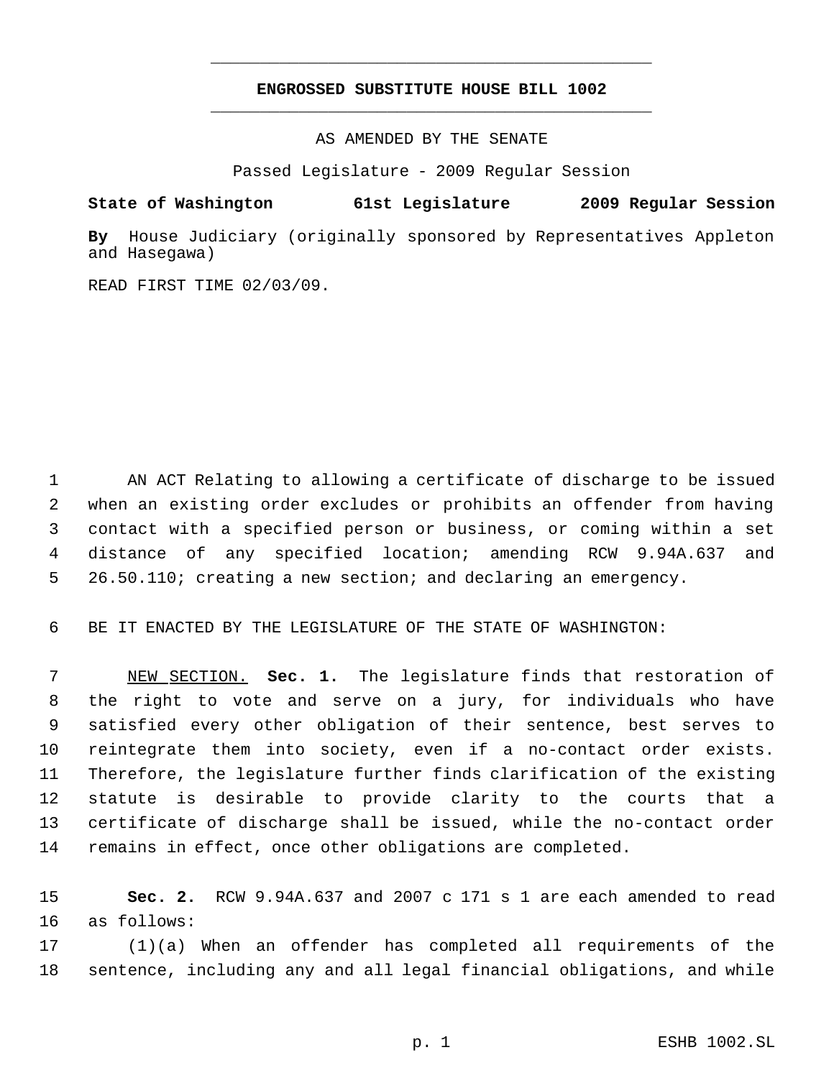## **ENGROSSED SUBSTITUTE HOUSE BILL 1002** \_\_\_\_\_\_\_\_\_\_\_\_\_\_\_\_\_\_\_\_\_\_\_\_\_\_\_\_\_\_\_\_\_\_\_\_\_\_\_\_\_\_\_\_\_

\_\_\_\_\_\_\_\_\_\_\_\_\_\_\_\_\_\_\_\_\_\_\_\_\_\_\_\_\_\_\_\_\_\_\_\_\_\_\_\_\_\_\_\_\_

AS AMENDED BY THE SENATE

Passed Legislature - 2009 Regular Session

**State of Washington 61st Legislature 2009 Regular Session**

**By** House Judiciary (originally sponsored by Representatives Appleton and Hasegawa)

READ FIRST TIME 02/03/09.

 AN ACT Relating to allowing a certificate of discharge to be issued when an existing order excludes or prohibits an offender from having contact with a specified person or business, or coming within a set distance of any specified location; amending RCW 9.94A.637 and 26.50.110; creating a new section; and declaring an emergency.

BE IT ENACTED BY THE LEGISLATURE OF THE STATE OF WASHINGTON:

 NEW SECTION. **Sec. 1.** The legislature finds that restoration of the right to vote and serve on a jury, for individuals who have satisfied every other obligation of their sentence, best serves to reintegrate them into society, even if a no-contact order exists. Therefore, the legislature further finds clarification of the existing statute is desirable to provide clarity to the courts that a certificate of discharge shall be issued, while the no-contact order remains in effect, once other obligations are completed.

 **Sec. 2.** RCW 9.94A.637 and 2007 c 171 s 1 are each amended to read as follows:

 (1)(a) When an offender has completed all requirements of the sentence, including any and all legal financial obligations, and while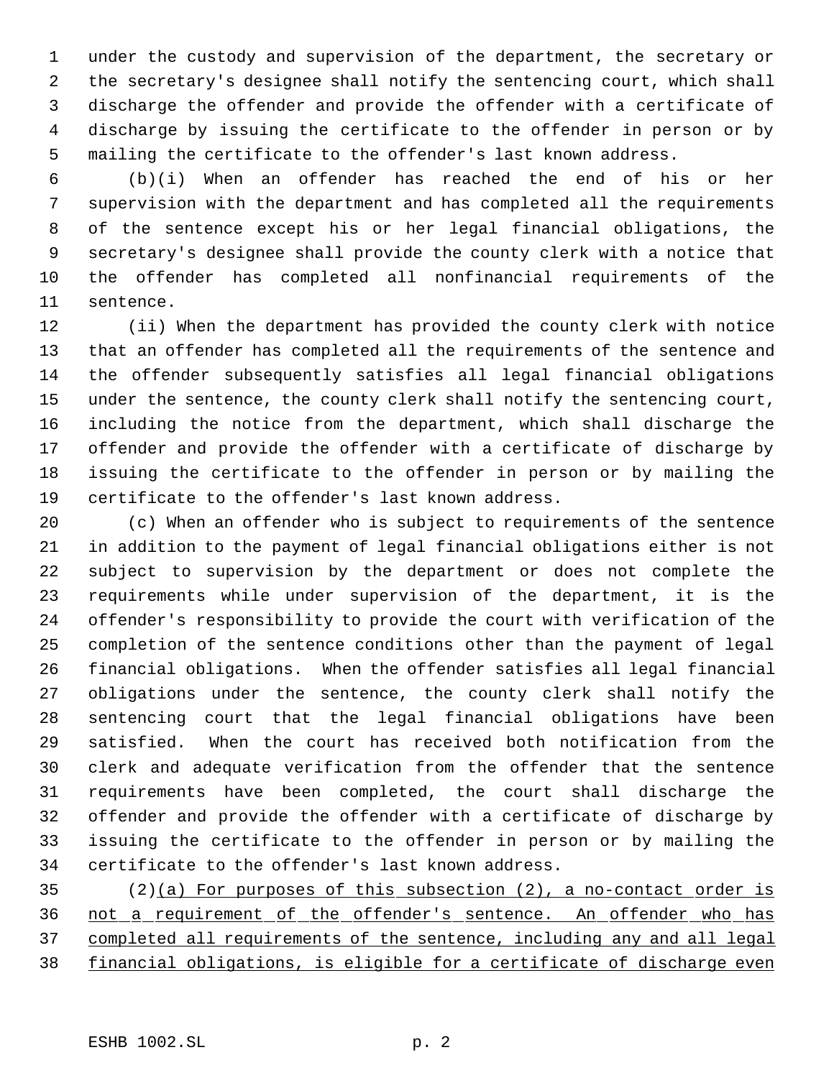under the custody and supervision of the department, the secretary or the secretary's designee shall notify the sentencing court, which shall discharge the offender and provide the offender with a certificate of discharge by issuing the certificate to the offender in person or by mailing the certificate to the offender's last known address.

 (b)(i) When an offender has reached the end of his or her supervision with the department and has completed all the requirements of the sentence except his or her legal financial obligations, the secretary's designee shall provide the county clerk with a notice that the offender has completed all nonfinancial requirements of the sentence.

 (ii) When the department has provided the county clerk with notice that an offender has completed all the requirements of the sentence and the offender subsequently satisfies all legal financial obligations under the sentence, the county clerk shall notify the sentencing court, including the notice from the department, which shall discharge the offender and provide the offender with a certificate of discharge by issuing the certificate to the offender in person or by mailing the certificate to the offender's last known address.

 (c) When an offender who is subject to requirements of the sentence in addition to the payment of legal financial obligations either is not subject to supervision by the department or does not complete the requirements while under supervision of the department, it is the offender's responsibility to provide the court with verification of the completion of the sentence conditions other than the payment of legal financial obligations. When the offender satisfies all legal financial obligations under the sentence, the county clerk shall notify the sentencing court that the legal financial obligations have been satisfied. When the court has received both notification from the clerk and adequate verification from the offender that the sentence requirements have been completed, the court shall discharge the offender and provide the offender with a certificate of discharge by issuing the certificate to the offender in person or by mailing the certificate to the offender's last known address.

 $(2)(a)$  For purposes of this subsection  $(2)$ , a no-contact order is not a requirement of the offender's sentence. An offender who has completed all requirements of the sentence, including any and all legal financial obligations, is eligible for a certificate of discharge even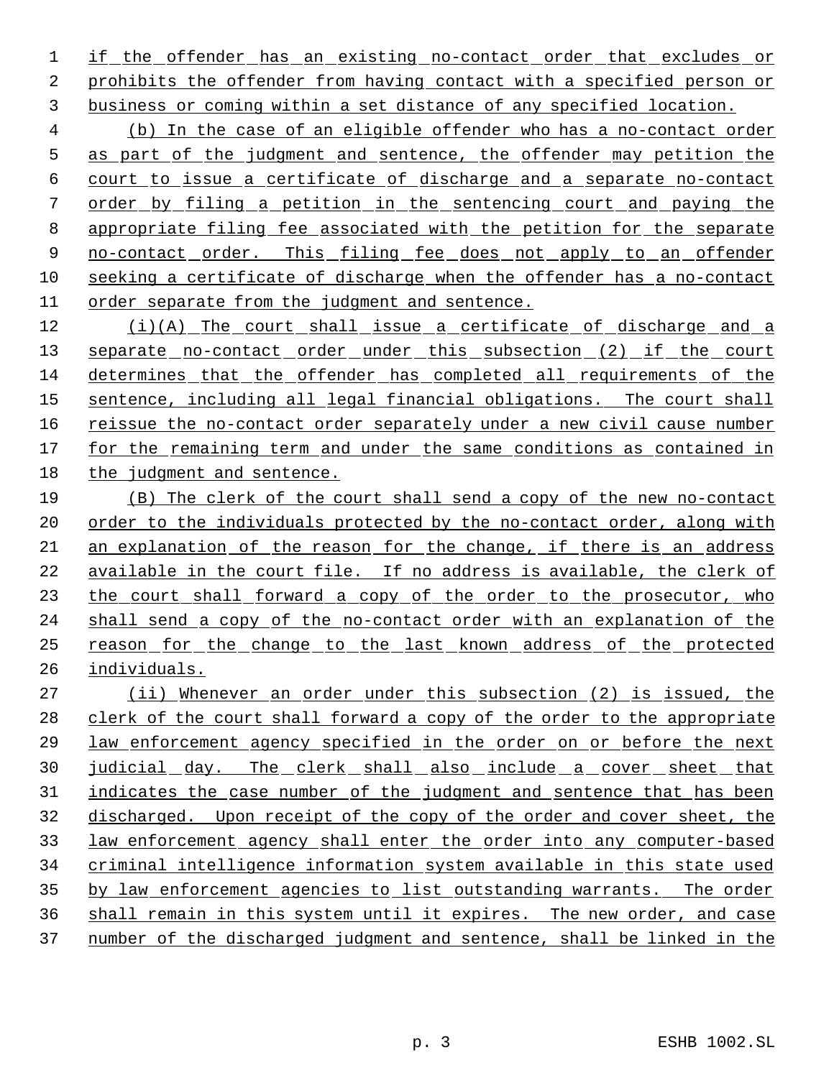if the offender has an existing no-contact order that excludes or prohibits the offender from having contact with a specified person or business or coming within a set distance of any specified location.

 (b) In the case of an eligible offender who has a no-contact order as part of the judgment and sentence, the offender may petition the court to issue a certificate of discharge and a separate no-contact order by filing a petition in the sentencing court and paying the appropriate filing fee associated with the petition for the separate 9 no-contact order. This filing fee does not apply to an offender seeking a certificate of discharge when the offender has a no-contact order separate from the judgment and sentence.

 (i)(A) The court shall issue a certificate of discharge and a 13 separate no-contact order under this subsection (2) if the court determines that the offender has completed all requirements of the sentence, including all legal financial obligations. The court shall reissue the no-contact order separately under a new civil cause number 17 for the remaining term and under the same conditions as contained in the judgment and sentence.

 (B) The clerk of the court shall send a copy of the new no-contact 20 order to the individuals protected by the no-contact order, along with an explanation of the reason for the change, if there is an address available in the court file. If no address is available, the clerk of 23 the court shall forward a copy of the order to the prosecutor, who shall send a copy of the no-contact order with an explanation of the reason for the change to the last known address of the protected individuals.

 (ii) Whenever an order under this subsection (2) is issued, the clerk of the court shall forward a copy of the order to the appropriate law enforcement agency specified in the order on or before the next 30 judicial day. The clerk shall also include a cover sheet that 31 indicates the case number of the judgment and sentence that has been discharged. Upon receipt of the copy of the order and cover sheet, the law enforcement agency shall enter the order into any computer-based criminal intelligence information system available in this state used 35 by law enforcement agencies to list outstanding warrants. The order shall remain in this system until it expires. The new order, and case number of the discharged judgment and sentence, shall be linked in the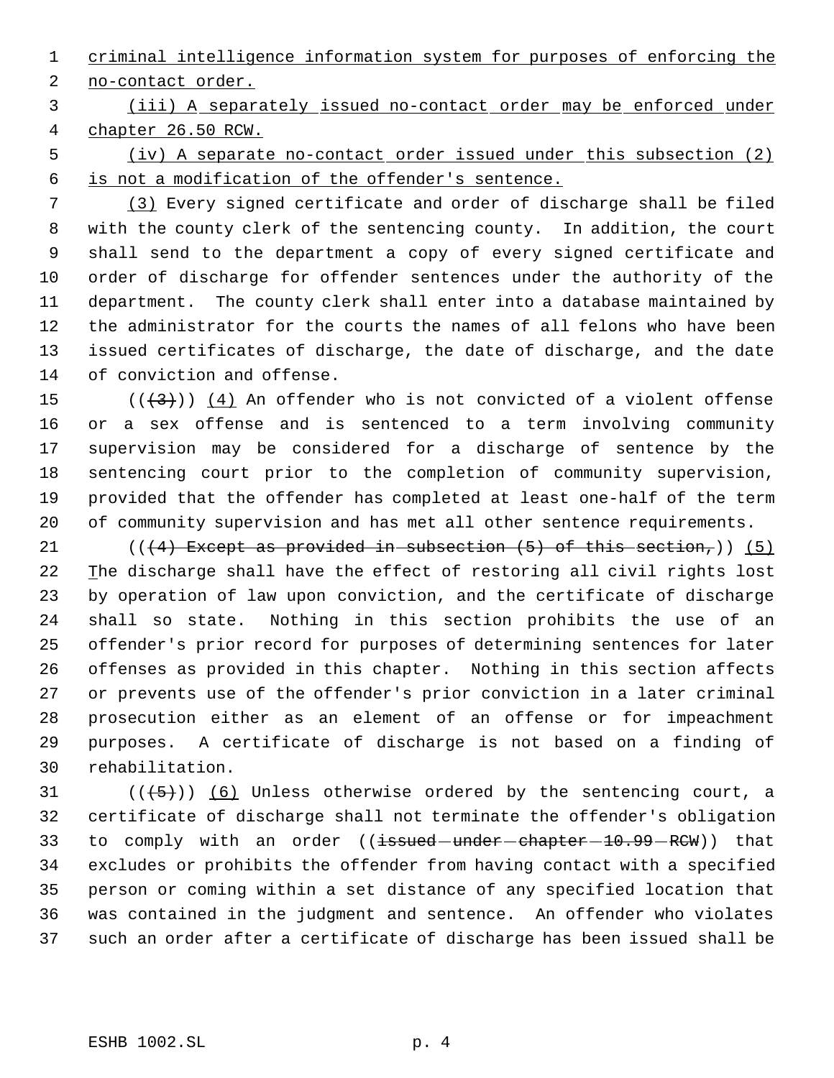criminal intelligence information system for purposes of enforcing the no-contact order.

 (iii) A separately issued no-contact order may be enforced under chapter 26.50 RCW.

 (iv) A separate no-contact order issued under this subsection (2) is not a modification of the offender's sentence.

 (3) Every signed certificate and order of discharge shall be filed with the county clerk of the sentencing county. In addition, the court shall send to the department a copy of every signed certificate and order of discharge for offender sentences under the authority of the department. The county clerk shall enter into a database maintained by the administrator for the courts the names of all felons who have been issued certificates of discharge, the date of discharge, and the date of conviction and offense.

 $((+3))$  (4) An offender who is not convicted of a violent offense or a sex offense and is sentenced to a term involving community supervision may be considered for a discharge of sentence by the sentencing court prior to the completion of community supervision, provided that the offender has completed at least one-half of the term of community supervision and has met all other sentence requirements.

 $((4)$  Except as provided in subsection  $(5)$  of this section,)) (5) 22 The discharge shall have the effect of restoring all civil rights lost by operation of law upon conviction, and the certificate of discharge shall so state. Nothing in this section prohibits the use of an offender's prior record for purposes of determining sentences for later offenses as provided in this chapter. Nothing in this section affects or prevents use of the offender's prior conviction in a later criminal prosecution either as an element of an offense or for impeachment purposes. A certificate of discharge is not based on a finding of rehabilitation.

 $((+5))$  (6) Unless otherwise ordered by the sentencing court, a certificate of discharge shall not terminate the offender's obligation 33 to comply with an order ((issued-under-chapter-10.99-RCW)) that excludes or prohibits the offender from having contact with a specified person or coming within a set distance of any specified location that was contained in the judgment and sentence. An offender who violates such an order after a certificate of discharge has been issued shall be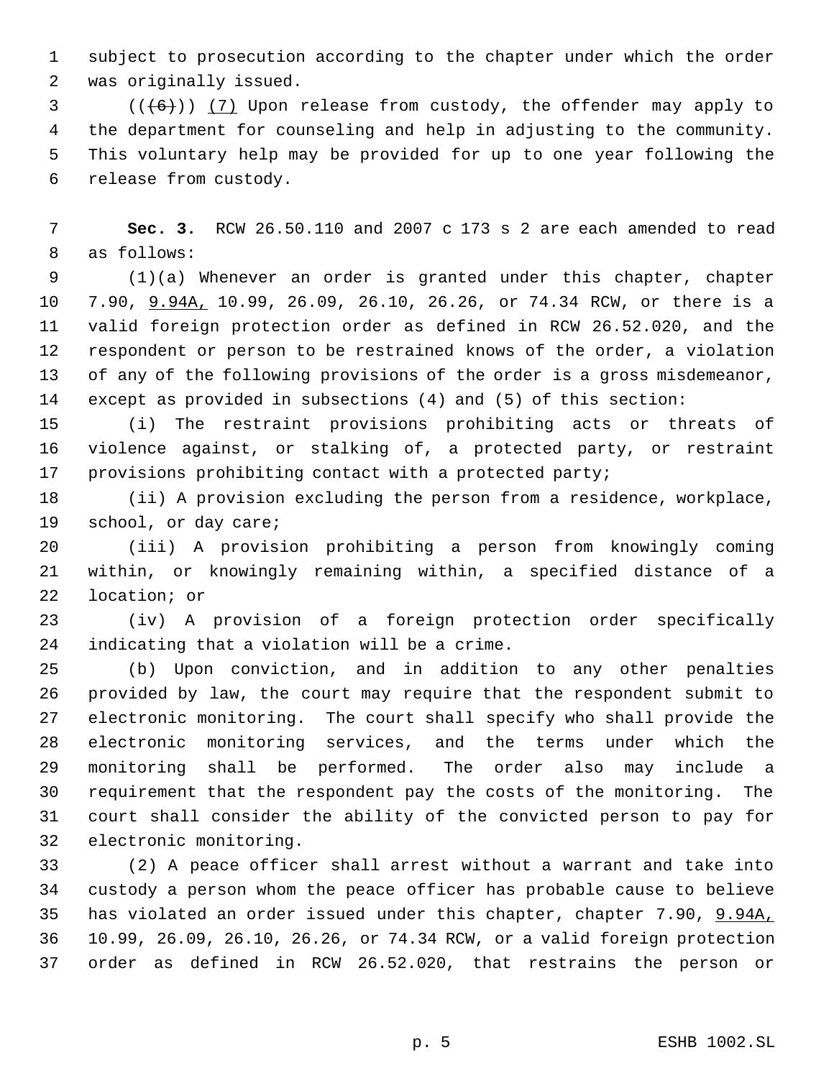subject to prosecution according to the chapter under which the order was originally issued.

 $(1 + 6)$ ) (7) Upon release from custody, the offender may apply to the department for counseling and help in adjusting to the community. This voluntary help may be provided for up to one year following the release from custody.

 **Sec. 3.** RCW 26.50.110 and 2007 c 173 s 2 are each amended to read as follows:

 (1)(a) Whenever an order is granted under this chapter, chapter 7.90, 9.94A, 10.99, 26.09, 26.10, 26.26, or 74.34 RCW, or there is a valid foreign protection order as defined in RCW 26.52.020, and the respondent or person to be restrained knows of the order, a violation of any of the following provisions of the order is a gross misdemeanor, except as provided in subsections (4) and (5) of this section:

 (i) The restraint provisions prohibiting acts or threats of violence against, or stalking of, a protected party, or restraint provisions prohibiting contact with a protected party;

 (ii) A provision excluding the person from a residence, workplace, school, or day care;

 (iii) A provision prohibiting a person from knowingly coming within, or knowingly remaining within, a specified distance of a location; or

 (iv) A provision of a foreign protection order specifically indicating that a violation will be a crime.

 (b) Upon conviction, and in addition to any other penalties provided by law, the court may require that the respondent submit to electronic monitoring. The court shall specify who shall provide the electronic monitoring services, and the terms under which the monitoring shall be performed. The order also may include a requirement that the respondent pay the costs of the monitoring. The court shall consider the ability of the convicted person to pay for electronic monitoring.

 (2) A peace officer shall arrest without a warrant and take into custody a person whom the peace officer has probable cause to believe 35 has violated an order issued under this chapter, chapter 7.90, 9.94A, 10.99, 26.09, 26.10, 26.26, or 74.34 RCW, or a valid foreign protection order as defined in RCW 26.52.020, that restrains the person or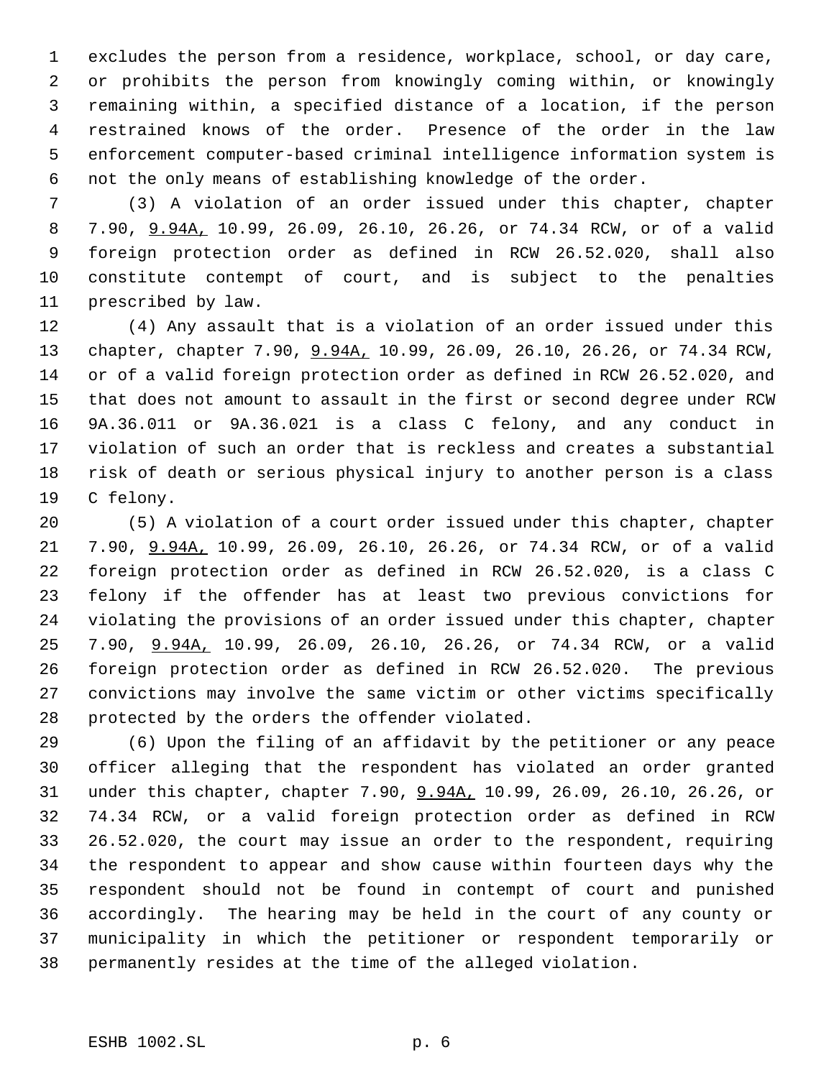excludes the person from a residence, workplace, school, or day care, or prohibits the person from knowingly coming within, or knowingly remaining within, a specified distance of a location, if the person restrained knows of the order. Presence of the order in the law enforcement computer-based criminal intelligence information system is not the only means of establishing knowledge of the order.

 (3) A violation of an order issued under this chapter, chapter 7.90, 9.94A, 10.99, 26.09, 26.10, 26.26, or 74.34 RCW, or of a valid foreign protection order as defined in RCW 26.52.020, shall also constitute contempt of court, and is subject to the penalties prescribed by law.

 (4) Any assault that is a violation of an order issued under this 13 chapter, chapter 7.90,  $9.94A$ , 10.99, 26.09, 26.10, 26.26, or 74.34 RCW, or of a valid foreign protection order as defined in RCW 26.52.020, and that does not amount to assault in the first or second degree under RCW 9A.36.011 or 9A.36.021 is a class C felony, and any conduct in violation of such an order that is reckless and creates a substantial risk of death or serious physical injury to another person is a class C felony.

 (5) A violation of a court order issued under this chapter, chapter 7.90, 9.94A, 10.99, 26.09, 26.10, 26.26, or 74.34 RCW, or of a valid foreign protection order as defined in RCW 26.52.020, is a class C felony if the offender has at least two previous convictions for violating the provisions of an order issued under this chapter, chapter 7.90, 9.94A, 10.99, 26.09, 26.10, 26.26, or 74.34 RCW, or a valid foreign protection order as defined in RCW 26.52.020. The previous convictions may involve the same victim or other victims specifically protected by the orders the offender violated.

 (6) Upon the filing of an affidavit by the petitioner or any peace officer alleging that the respondent has violated an order granted under this chapter, chapter 7.90, 9.94A, 10.99, 26.09, 26.10, 26.26, or 74.34 RCW, or a valid foreign protection order as defined in RCW 26.52.020, the court may issue an order to the respondent, requiring the respondent to appear and show cause within fourteen days why the respondent should not be found in contempt of court and punished accordingly. The hearing may be held in the court of any county or municipality in which the petitioner or respondent temporarily or permanently resides at the time of the alleged violation.